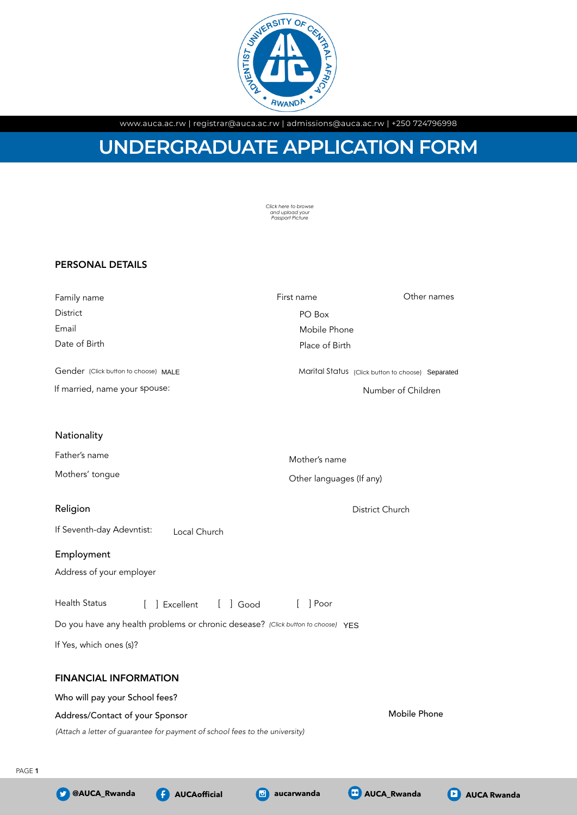

www.auca.ac.rw | registrar@auca.ac.rw | admissions@auca.ac.rw | +250 724796998

# **UNDERGRADUATE APPLICATION FORM**

*Click here to browse and upload your Passport Picture*

# PERSONAL DETAILS

| Family name                                                                      | First name               | Other names                                       |
|----------------------------------------------------------------------------------|--------------------------|---------------------------------------------------|
| District                                                                         | PO Box                   |                                                   |
| Email                                                                            | Mobile Phone             |                                                   |
| Date of Birth                                                                    | Place of Birth           |                                                   |
| Gender (Click button to choose) MALE                                             |                          | Marital Status (Click button to choose) Separated |
| If married, name your spouse:                                                    |                          | Number of Children                                |
|                                                                                  |                          |                                                   |
|                                                                                  |                          |                                                   |
| Nationality                                                                      |                          |                                                   |
| Father's name                                                                    | Mother's name            |                                                   |
| Mothers' tongue                                                                  | Other languages (If any) |                                                   |
|                                                                                  |                          |                                                   |
| Religion                                                                         |                          | District Church                                   |
| If Seventh-day Adevntist:<br>Local Church                                        |                          |                                                   |
| Employment                                                                       |                          |                                                   |
| Address of your employer                                                         |                          |                                                   |
|                                                                                  |                          |                                                   |
| <b>Health Status</b><br>Fxcellent<br>$\lceil$ $\rfloor$ Good<br>$\mathbf{r}$     | Poor<br>$\lceil$         |                                                   |
| Do you have any health problems or chronic desease? (Click button to choose) YES |                          |                                                   |
| If Yes, which ones (s)?                                                          |                          |                                                   |
|                                                                                  |                          |                                                   |
| <b>FINANCIAL INFORMATION</b>                                                     |                          |                                                   |
| Who will pay your School fees?                                                   |                          |                                                   |
| Address/Contact of your Sponsor                                                  |                          | Mobile Phone                                      |
| (Attach a letter of guarantee for payment of school fees to the university)      |                          |                                                   |
|                                                                                  |                          |                                                   |